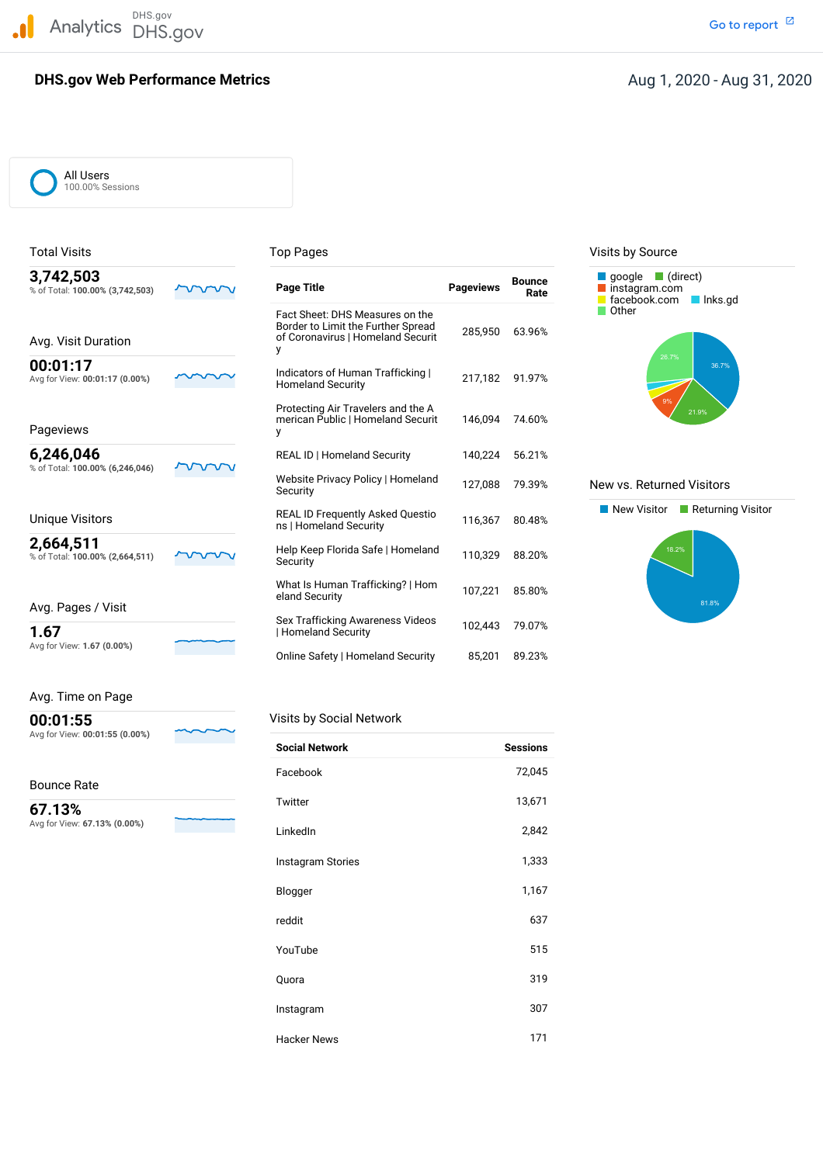DHS.gov Analytics DHS.gov and the contract of the contract of the contract of the contract of the contract of the contract of the contract of the contract of the contract of the contract of the contract of the contract of the cont

# **DHS.gov Web Performance Metrics**

All Users 100.00% Sessions

| 3,742,503<br>% of Total: 100.00% (3,742,503) | <b>Page Title</b>                                                                                          | <b>Pageviews</b> | <b>Bounce</b><br>Rate | $\blacksquare$ (direct)<br>google<br>instagram.com<br>facebook.com<br>$\blacksquare$ Inks.gd |
|----------------------------------------------|------------------------------------------------------------------------------------------------------------|------------------|-----------------------|----------------------------------------------------------------------------------------------|
| Avg. Visit Duration                          | Fact Sheet: DHS Measures on the<br>Border to Limit the Further Spread<br>of Coronavirus   Homeland Securit | 285,950          | 63.96%                | Other                                                                                        |
| 00:01:17<br>Avg for View: 00:01:17 (0.00%)   | Indicators of Human Trafficking  <br><b>Homeland Security</b>                                              | 217,182          | 91.97%                | 26.7%<br>36.7%                                                                               |
| Pageviews                                    | Protecting Air Travelers and the A<br>merican Public   Homeland Securit                                    | 146.094          | 74.60%                | 9%<br>21.9%                                                                                  |
| 6,246,046<br>% of Total: 100.00% (6,246,046) | <b>REAL ID   Homeland Security</b>                                                                         | 140,224          | 56.21%                |                                                                                              |
|                                              | Website Privacy Policy   Homeland<br>Security                                                              | 127,088          | 79.39%                | New vs. Returned Visitors                                                                    |
| Unique Visitors                              | <b>REAL ID Frequently Asked Questio</b><br>ns   Homeland Security                                          | 116,367          | 80.48%                | New Visitor<br>Returning Visitor                                                             |
| 2,664,511<br>% of Total: 100.00% (2,664,511) | Help Keep Florida Safe   Homeland<br>Security                                                              | 110.329          | 88.20%                | 18.2%                                                                                        |
|                                              | What Is Human Trafficking?   Hom<br>eland Security                                                         | 107,221          | 85.80%                | 81.8%                                                                                        |
| Avg. Pages / Visit                           | Sex Trafficking Awareness Videos                                                                           | 102.443          | 79.07%                |                                                                                              |
| 1.67<br>Avg for View: 1.67 (0.00%)           | Homeland Security<br>Online Safety   Homeland Security                                                     | 85,201           | 89.23%                |                                                                                              |

### Total Visits **Top Pages** Top Pages Top Pages Visits by Source



### New vs. Returned Visitors



Avg. Time on Page

### **00:01:55** Visits by Social Network

Avg for View: **00:01:55 (0.00%)**

### Bounce Rate

 Avg for View: **67.13% (0.00%) 67.13%**

| <b>Social Network</b> |
|-----------------------|
| Facebook              |

| Facebook           | 72,045 |
|--------------------|--------|
| Twitter            | 13,671 |
| LinkedIn           | 2,842  |
| Instagram Stories  | 1,333  |
| Blogger            | 1,167  |
| reddit             | 637    |
| YouTube            | 515    |
| Quora              | 319    |
| Instagram          | 307    |
| <b>Hacker News</b> | 171    |

**Social Network Sessions**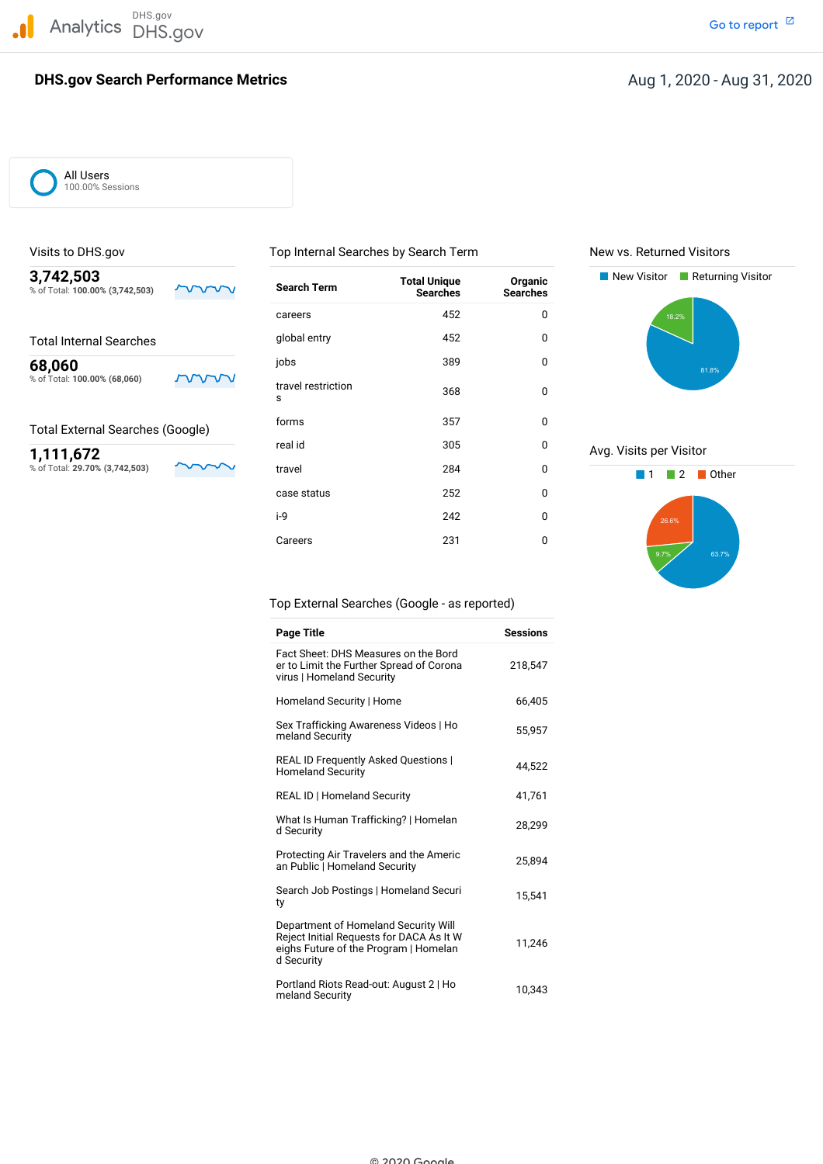DHS.gov Analytics DHS.gov and the contract of the contract of the contract of the contract of the contract of the contract of the contract of the contract of the contract of the contract of the contract of the contract of the cont

### **DHS.gov Search Performance Metrics**

### Aug 1, 2020 - Aug 31, 2020

All Users 100.00% Sessions

Visits to DHS.gov Top Internal Searches by Search Term New vs. Returned Visitors

| 3,742,0U3<br>% of Total: 100.00% (3,742,503) | mn |
|----------------------------------------------|----|
|                                              |    |

% of Total: 100.00% (68,060)

% of Total: 29.70% (3,742,503)

careers 452 0 Total Internal Searches and Searches global entry 452 and 452 and 452 contract to the GMS of the GMS of the GMS of the GMS of the GMS of the GMS of the GMS of the GMS of the GMS of the GMS of the GMS of the GMS of the GMS jobs <sup>389</sup> <sup>0</sup> **68,060** % of Total: 1**00.00% (68,060)**<br>a travel restriction 368 0 s Total External Searches (Google) forms 357 0<br>
The state of the state of the state of the state of the state of the state of the state of the state of the s<br>
The state of the state of the state of the state of the state of real id 305 0 Avg. Visits per Visitor<br>  $\frac{1,111,672}{284}$   $\frac{0}{284}$   $\frac{0}{284}$   $\frac{0}{284}$   $\frac{0}{284}$   $\frac{0}{284}$   $\frac{0}{284}$ case status 252 0 i-9 242 0 Careers 231 0





Top External Searches (Google - as reported)

| <b>Page Title</b>                                                                                                                       | <b>Sessions</b> |
|-----------------------------------------------------------------------------------------------------------------------------------------|-----------------|
| Fact Sheet: DHS Measures on the Bord<br>er to Limit the Further Spread of Corona<br>virus   Homeland Security                           | 218,547         |
| Homeland Security   Home                                                                                                                | 66,405          |
| Sex Trafficking Awareness Videos   Ho<br>meland Security                                                                                | 55,957          |
| <b>REAL ID Frequently Asked Questions  </b><br><b>Homeland Security</b>                                                                 | 44.522          |
| <b>REAL ID   Homeland Security</b>                                                                                                      | 41.761          |
| What Is Human Trafficking?   Homelan<br>d Security                                                                                      | 28.299          |
| Protecting Air Travelers and the Americ<br>an Public   Homeland Security                                                                | 25,894          |
| Search Job Postings   Homeland Securi<br>ty                                                                                             | 15,541          |
| Department of Homeland Security Will<br>Reject Initial Requests for DACA As It W<br>eighs Future of the Program   Homelan<br>d Security | 11,246          |
| Portland Riots Read-out: August 2   Ho<br>meland Security                                                                               | 10,343          |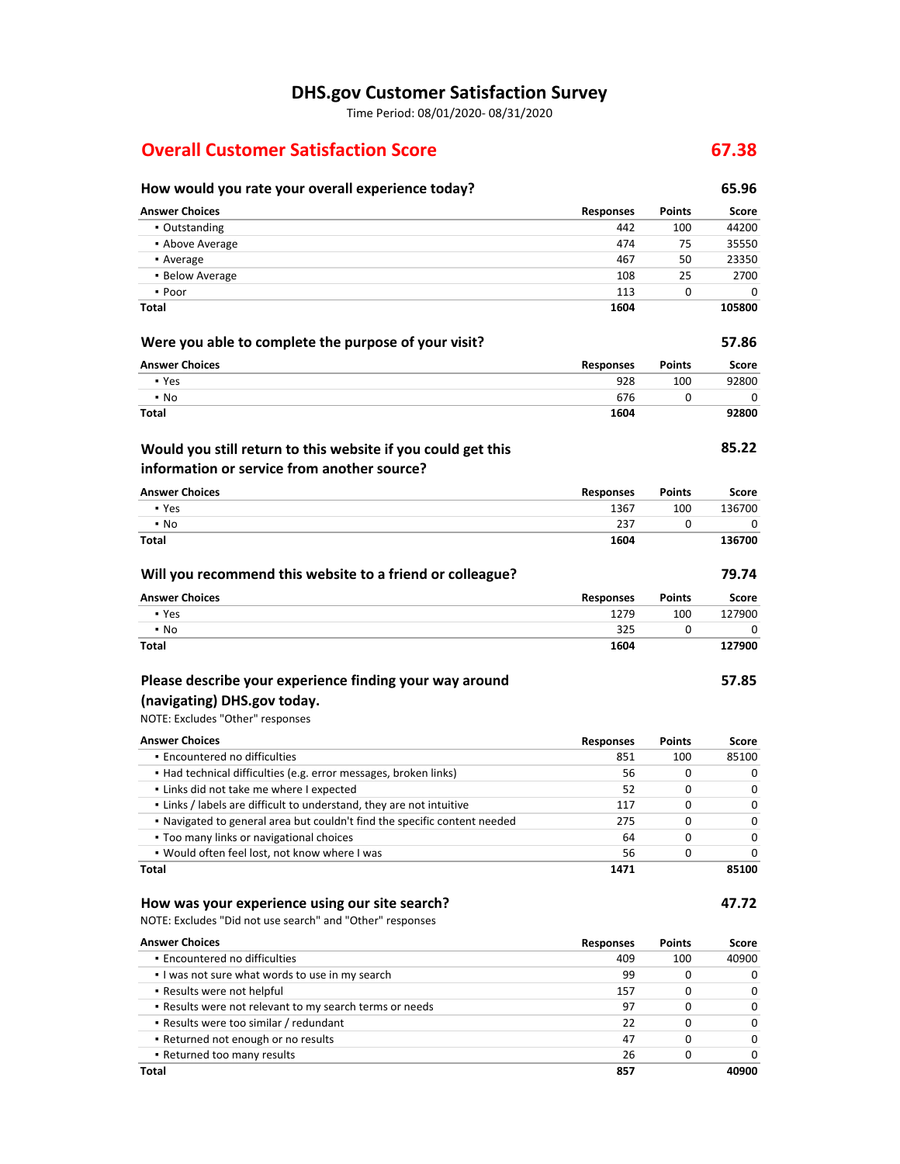### **DHS.gov Customer Satisfaction Survey**

Time Period: 08/01/2020‐ 08/31/2020

# **Overall Customer Satisfaction Score 67.38**

### **How would you rate your overall experience today? 65.96 Answer Choices Responses Points Score** ▪ Outstanding 442 100 44200 **• Above Average 19 and 20 and 20 and 20 and 20 and 20 and 20 and 20 and 20 and 20 and 20 and 20 and 20 and 20 and 20 and 20 and 20 and 20 and 20 and 20 and 20 and 20 and 20 and 20 and 20 and 20 and 20 and 20 and 20 and 20** • Average 23350 50 23350 50 23350 50 23350 50 23350 50 23350 50 23350 50 23350 50 23350 50 23350 50 23350 50 2 **• Below Average 108 25 2700**  $\blacksquare$  Poor  $\blacksquare$ **Total Were you able to complete the purpose of your visit? Answer Choices** ▪ Yes ▪ No **Total Would you still return to this website if you could get this information or service from another source? Answer Choices** ▪ Yes ▪ No **Total Will you recommend this website to a friend or colleague? Answer Choices** ▪ Yes ▪ No **Total Please describe your experience finding your way around (navigating) DHS.gov today.** NOTE: Excludes "Other" responses **Answer Choices** ▪ Encountered no difficulties **1604 Responses** 928 676 **1604 Responses** 1367 237 **1604 Responses** 1279 325 **1604 Responses** 851 **Points** 100  $\Omega$ **Points** 100 0 **Points** 100  $\Omega$ **Points** 100 **105800 57.86 Score** 92800  $\Omega$ **92800 85.22 Score** 136700  $\Omega$ **136700 79.74 Score** 127900  $\Omega$ **127900 57.85 Score** 85100 ▪ Had technical difficulties (e.g. error messages, broken links) ▪ Links did not take me where I expected ▪ Links / labels are difficult to understand, they are not intuitive ▪ Navigated to general area but couldn't find the specific content needed ▪ Too many links or navigational choices ▪ Would often feel lost, not know where I was **Total How was your experience using our site search?** NOTE: Excludes "Did not use search" and "Other" responses **Answer Choices** ▪ Encountered no difficulties 56 52 117 275 64 56 **1471 Responses** 409 0 0  $\Omega$ 0  $\Omega$ 0 **Points** 100 0 0 0 0  $\Omega$ 0 **85100 47.72 Score** 40900 ▪ I was not sure what words to use in my search 99 0 0 ▪ Results were not helpful 157 0 0 ▪ Results were not relevant to my search terms or needs 97 0 0 ▪ Results were too similar / redundant 22 0 0

**• Returned not enough or no results and results and results and results and results and results and results and results and results and results and results and results and results and results and results and results and r** ▪ Returned too many results 26 0 0